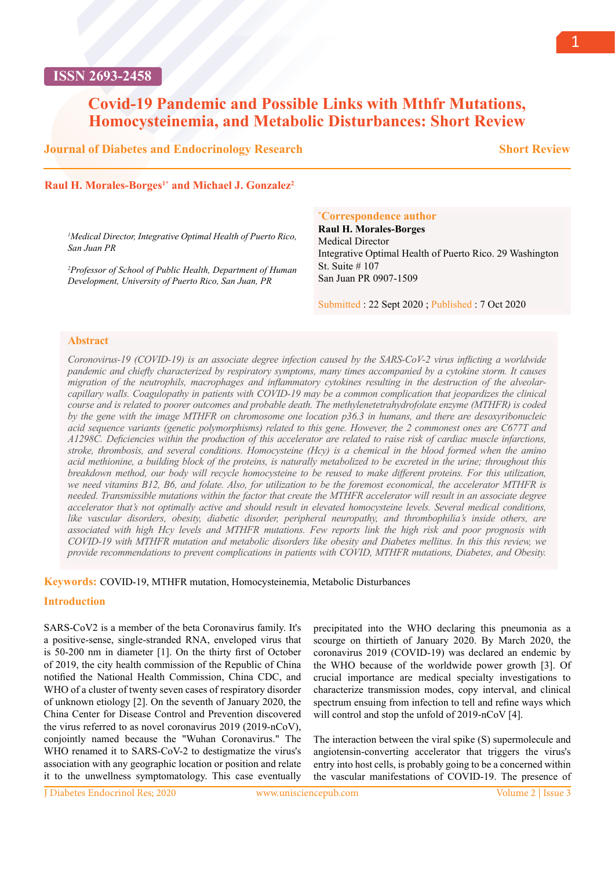## **ISSN 2693-2458**

# **Covid-19 Pandemic and Possible Links with Mthfr Mutations, Homocysteinemia, and Metabolic Disturbances: Short Review**

### **Journal of Diabetes and Endocrinology Research**

**Short Review**

#### Raul H. Morales-Borges<sup>1\*</sup> and Michael J. Gonzalez<sup>2</sup>

*1 Medical Director, Integrative Optimal Health of Puerto Rico, San Juan PR*

*2 Professor of School of Public Health, Department of Human Development, University of Puerto Rico, San Juan, PR*

#### **\* Correspondence author**

**Raul H. Morales-Borges** Medical Director Integrative Optimal Health of Puerto Rico. 29 Washington St. Suite # 107 San Juan PR 0907-1509

Submitted : 22 Sept 2020 ; Published : 7 Oct 2020

#### **Abstract**

*Coronovirus-19 (COVID-19) is an associate degree infection caused by the SARS-CoV-2 virus inflicting a worldwide pandemic and chiefly characterized by respiratory symptoms, many times accompanied by a cytokine storm. It causes migration of the neutrophils, macrophages and inflammatory cytokines resulting in the destruction of the alveolarcapillary walls. Coagulopathy in patients with COVID-19 may be a common complication that jeopardizes the clinical course and is related to poorer outcomes and probable death. The methylenetetrahydrofolate enzyme (MTHFR) is coded by the gene with the image MTHFR on chromosome one location p36.3 in humans, and there are desoxyribonucleic acid sequence variants (genetic polymorphisms) related to this gene. However, the 2 commonest ones are C677T and A1298C. Deficiencies within the production of this accelerator are related to raise risk of cardiac muscle infarctions, stroke, thrombosis, and several conditions. Homocysteine (Hcy) is a chemical in the blood formed when the amino acid methionine, a building block of the proteins, is naturally metabolized to be excreted in the urine; throughout this breakdown method, our body will recycle homocysteine to be reused to make different proteins. For this utilization, we need vitamins B12, B6, and folate. Also, for utilization to be the foremost economical, the accelerator MTHFR is needed. Transmissible mutations within the factor that create the MTHFR accelerator will result in an associate degree accelerator that's not optimally active and should result in elevated homocysteine levels. Several medical conditions, like vascular disorders, obesity, diabetic disorder, peripheral neuropathy, and thrombophilia's inside others, are associated with high Hcy levels and MTHFR mutations. Few reports link the high risk and poor prognosis with COVID-19 with MTHFR mutation and metabolic disorders like obesity and Diabetes mellitus. In this this review, we provide recommendations to prevent complications in patients with COVID, MTHFR mutations, Diabetes, and Obesity.*

**Keywords:** COVID-19, MTHFR mutation, Homocysteinemia, Metabolic Disturbances

#### **Introduction**

SARS-CoV2 is a member of the beta Coronavirus family. It's a positive-sense, single-stranded RNA, enveloped virus that is 50-200 nm in diameter [1]. On the thirty first of October of 2019, the city health commission of the Republic of China notified the National Health Commission, China CDC, and WHO of a cluster of twenty seven cases of respiratory disorder of unknown etiology [2]. On the seventh of January 2020, the China Center for Disease Control and Prevention discovered the virus referred to as novel coronavirus 2019 (2019-nCoV), conjointly named because the "Wuhan Coronavirus." The WHO renamed it to SARS-CoV-2 to destigmatize the virus's association with any geographic location or position and relate it to the unwellness symptomatology. This case eventually

precipitated into the WHO declaring this pneumonia as a scourge on thirtieth of January 2020. By March 2020, the coronavirus 2019 (COVID-19) was declared an endemic by the WHO because of the worldwide power growth [3]. Of crucial importance are medical specialty investigations to characterize transmission modes, copy interval, and clinical spectrum ensuing from infection to tell and refine ways which will control and stop the unfold of 2019-nCoV [4].

The interaction between the viral spike (S) supermolecule and angiotensin-converting accelerator that triggers the virus's entry into host cells, is probably going to be a concerned within the vascular manifestations of COVID-19. The presence of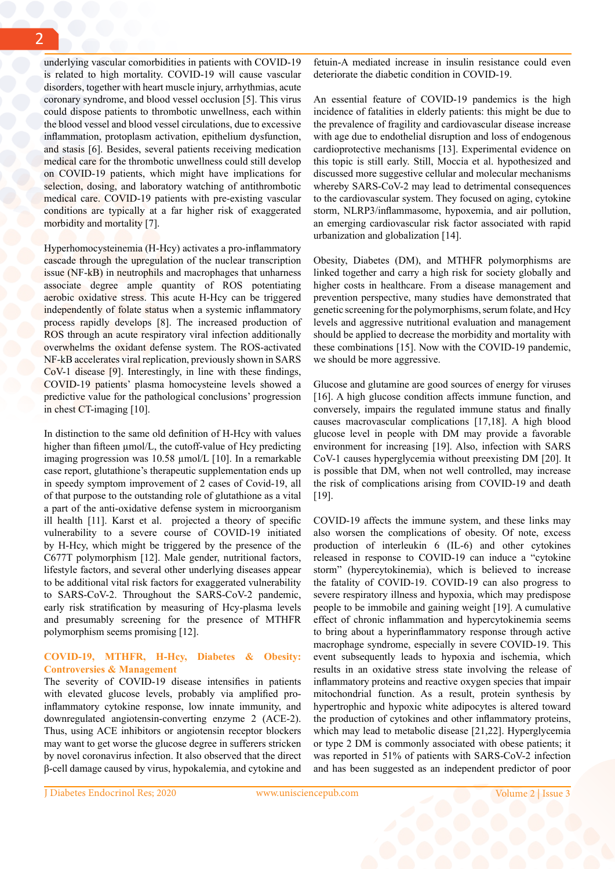underlying vascular comorbidities in patients with COVID-19 is related to high mortality. COVID-19 will cause vascular disorders, together with heart muscle injury, arrhythmias, acute coronary syndrome, and blood vessel occlusion [5]. This virus could dispose patients to thrombotic unwellness, each within the blood vessel and blood vessel circulations, due to excessive inflammation, protoplasm activation, epithelium dysfunction, and stasis [6]. Besides, several patients receiving medication medical care for the thrombotic unwellness could still develop on COVID-19 patients, which might have implications for selection, dosing, and laboratory watching of antithrombotic medical care. COVID-19 patients with pre-existing vascular conditions are typically at a far higher risk of exaggerated morbidity and mortality [7].

Hyperhomocysteinemia (H-Hcy) activates a pro-inflammatory cascade through the upregulation of the nuclear transcription issue (NF-kB) in neutrophils and macrophages that unharness associate degree ample quantity of ROS potentiating aerobic oxidative stress. This acute H-Hcy can be triggered independently of folate status when a systemic inflammatory process rapidly develops [8]. The increased production of ROS through an acute respiratory viral infection additionally overwhelms the oxidant defense system. The ROS-activated NF-kB accelerates viral replication, previously shown in SARS CoV-1 disease [9]. Interestingly, in line with these findings, COVID-19 patients' plasma homocysteine levels showed a predictive value for the pathological conclusions' progression in chest CT-imaging [10].

In distinction to the same old definition of H-Hcy with values higher than fifteen  $\mu$ mol/L, the cutoff-value of Hcy predicting imaging progression was 10.58 µmol/L [10]. In a remarkable case report, glutathione's therapeutic supplementation ends up in speedy symptom improvement of 2 cases of Covid-19, all of that purpose to the outstanding role of glutathione as a vital a part of the anti-oxidative defense system in microorganism ill health [11]. Karst et al. projected a theory of specific vulnerability to a severe course of COVID-19 initiated by H-Hcy, which might be triggered by the presence of the C677T polymorphism [12]. Male gender, nutritional factors, lifestyle factors, and several other underlying diseases appear to be additional vital risk factors for exaggerated vulnerability to SARS-CoV-2. Throughout the SARS-CoV-2 pandemic, early risk stratification by measuring of Hcy-plasma levels and presumably screening for the presence of MTHFR polymorphism seems promising [12].

#### **COVID-19, MTHFR, H-Hcy, Diabetes & Obesity: Controversies & Management**

The severity of COVID-19 disease intensifies in patients with elevated glucose levels, probably via amplified proinflammatory cytokine response, low innate immunity, and downregulated angiotensin-converting enzyme 2 (ACE-2). Thus, using ACE inhibitors or angiotensin receptor blockers may want to get worse the glucose degree in sufferers stricken by novel coronavirus infection. It also observed that the direct β-cell damage caused by virus, hypokalemia, and cytokine and

fetuin-A mediated increase in insulin resistance could even deteriorate the diabetic condition in COVID-19.

An essential feature of COVID-19 pandemics is the high incidence of fatalities in elderly patients: this might be due to the prevalence of fragility and cardiovascular disease increase with age due to endothelial disruption and loss of endogenous cardioprotective mechanisms [13]. Experimental evidence on this topic is still early. Still, Moccia et al. hypothesized and discussed more suggestive cellular and molecular mechanisms whereby SARS-CoV-2 may lead to detrimental consequences to the cardiovascular system. They focused on aging, cytokine storm, NLRP3/inflammasome, hypoxemia, and air pollution, an emerging cardiovascular risk factor associated with rapid urbanization and globalization [14].

Obesity, Diabetes (DM), and MTHFR polymorphisms are linked together and carry a high risk for society globally and higher costs in healthcare. From a disease management and prevention perspective, many studies have demonstrated that genetic screening for the polymorphisms, serum folate, and Hcy levels and aggressive nutritional evaluation and management should be applied to decrease the morbidity and mortality with these combinations [15]. Now with the COVID-19 pandemic, we should be more aggressive.

Glucose and glutamine are good sources of energy for viruses [16]. A high glucose condition affects immune function, and conversely, impairs the regulated immune status and finally causes macrovascular complications [17,18]. A high blood glucose level in people with DM may provide a favorable environment for increasing [19]. Also, infection with SARS CoV-1 causes hyperglycemia without preexisting DM [20]. It is possible that DM, when not well controlled, may increase the risk of complications arising from COVID-19 and death [19].

COVID-19 affects the immune system, and these links may also worsen the complications of obesity. Of note, excess production of interleukin 6 (IL-6) and other cytokines released in response to COVID-19 can induce a "cytokine storm" (hypercytokinemia), which is believed to increase the fatality of COVID-19. COVID-19 can also progress to severe respiratory illness and hypoxia, which may predispose people to be immobile and gaining weight [19]. A cumulative effect of chronic inflammation and hypercytokinemia seems to bring about a hyperinflammatory response through active macrophage syndrome, especially in severe COVID-19. This event subsequently leads to hypoxia and ischemia, which results in an oxidative stress state involving the release of inflammatory proteins and reactive oxygen species that impair mitochondrial function. As a result, protein synthesis by hypertrophic and hypoxic white adipocytes is altered toward the production of cytokines and other inflammatory proteins, which may lead to metabolic disease [21,22]. Hyperglycemia or type 2 DM is commonly associated with obese patients; it was reported in 51% of patients with SARS-CoV-2 infection and has been suggested as an independent predictor of poor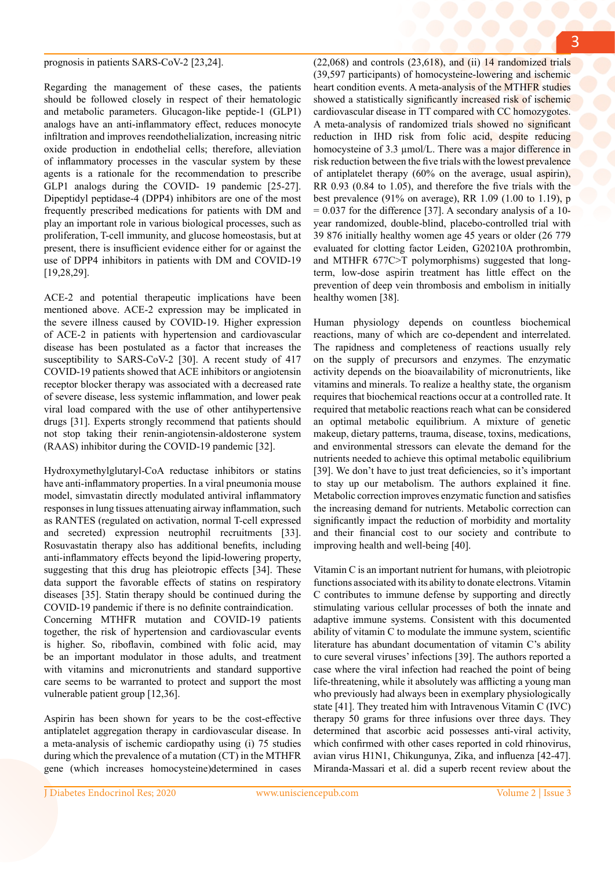#### prognosis in patients SARS-CoV-2 [23,24].

Regarding the management of these cases, the patients should be followed closely in respect of their hematologic and metabolic parameters. Glucagon-like peptide-1 (GLP1) analogs have an anti-inflammatory effect, reduces monocyte infiltration and improves reendothelialization, increasing nitric oxide production in endothelial cells; therefore, alleviation of inflammatory processes in the vascular system by these agents is a rationale for the recommendation to prescribe GLP1 analogs during the COVID- 19 pandemic [25-27]. Dipeptidyl peptidase-4 (DPP4) inhibitors are one of the most frequently prescribed medications for patients with DM and play an important role in various biological processes, such as proliferation, T-cell immunity, and glucose homeostasis, but at present, there is insufficient evidence either for or against the use of DPP4 inhibitors in patients with DM and COVID-19 [19,28,29].

ACE-2 and potential therapeutic implications have been mentioned above. ACE-2 expression may be implicated in the severe illness caused by COVID-19. Higher expression of ACE-2 in patients with hypertension and cardiovascular disease has been postulated as a factor that increases the susceptibility to SARS-CoV-2 [30]. A recent study of 417 COVID-19 patients showed that ACE inhibitors or angiotensin receptor blocker therapy was associated with a decreased rate of severe disease, less systemic inflammation, and lower peak viral load compared with the use of other antihypertensive drugs [31]. Experts strongly recommend that patients should not stop taking their renin-angiotensin-aldosterone system (RAAS) inhibitor during the COVID-19 pandemic [32].

Hydroxymethylglutaryl-CoA reductase inhibitors or statins have anti-inflammatory properties. In a viral pneumonia mouse model, simvastatin directly modulated antiviral inflammatory responses in lung tissues attenuating airway inflammation, such as RANTES (regulated on activation, normal T-cell expressed and secreted) expression neutrophil recruitments [33]. Rosuvastatin therapy also has additional benefits, including anti-inflammatory effects beyond the lipid-lowering property, suggesting that this drug has pleiotropic effects [34]. These data support the favorable effects of statins on respiratory diseases [35]. Statin therapy should be continued during the COVID-19 pandemic if there is no definite contraindication. Concerning MTHFR mutation and COVID-19 patients together, the risk of hypertension and cardiovascular events is higher. So, riboflavin, combined with folic acid, may be an important modulator in those adults, and treatment with vitamins and micronutrients and standard supportive care seems to be warranted to protect and support the most vulnerable patient group [12,36].

Aspirin has been shown for years to be the cost-effective antiplatelet aggregation therapy in cardiovascular disease. In a meta-analysis of ischemic cardiopathy using (i) 75 studies during which the prevalence of a mutation (CT) in the MTHFR gene (which increases homocysteine)determined in cases

 $(22,068)$  and controls  $(23,618)$ , and  $(ii)$  14 randomized trials (39,597 participants) of homocysteine-lowering and ischemic heart condition events. A meta-analysis of the MTHFR studies showed a statistically significantly increased risk of ischemic cardiovascular disease in TT compared with CC homozygotes. A meta-analysis of randomized trials showed no significant reduction in IHD risk from folic acid, despite reducing homocysteine of 3.3 µmol/L. There was a major difference in risk reduction between the five trials with the lowest prevalence of antiplatelet therapy (60% on the average, usual aspirin), RR 0.93 (0.84 to 1.05), and therefore the five trials with the best prevalence (91% on average), RR 1.09 (1.00 to 1.19), p  $= 0.037$  for the difference [37]. A secondary analysis of a 10year randomized, double-blind, placebo-controlled trial with 39 876 initially healthy women age 45 years or older (26 779 evaluated for clotting factor Leiden, G20210A prothrombin, and MTHFR 677C>T polymorphisms) suggested that longterm, low-dose aspirin treatment has little effect on the prevention of deep vein thrombosis and embolism in initially healthy women [38].

Human physiology depends on countless biochemical reactions, many of which are co-dependent and interrelated. The rapidness and completeness of reactions usually rely on the supply of precursors and enzymes. The enzymatic activity depends on the bioavailability of micronutrients, like vitamins and minerals. To realize a healthy state, the organism requires that biochemical reactions occur at a controlled rate. It required that metabolic reactions reach what can be considered an optimal metabolic equilibrium. A mixture of genetic makeup, dietary patterns, trauma, disease, toxins, medications, and environmental stressors can elevate the demand for the nutrients needed to achieve this optimal metabolic equilibrium [39]. We don't have to just treat deficiencies, so it's important to stay up our metabolism. The authors explained it fine. Metabolic correction improves enzymatic function and satisfies the increasing demand for nutrients. Metabolic correction can significantly impact the reduction of morbidity and mortality and their financial cost to our society and contribute to improving health and well-being [40].

Vitamin C is an important nutrient for humans, with pleiotropic functions associated with its ability to donate electrons. Vitamin C contributes to immune defense by supporting and directly stimulating various cellular processes of both the innate and adaptive immune systems. Consistent with this documented ability of vitamin C to modulate the immune system, scientific literature has abundant documentation of vitamin C's ability to cure several viruses' infections [39]. The authors reported a case where the viral infection had reached the point of being life-threatening, while it absolutely was afflicting a young man who previously had always been in exemplary physiologically state [41]. They treated him with Intravenous Vitamin C (IVC) therapy 50 grams for three infusions over three days. They determined that ascorbic acid possesses anti-viral activity, which confirmed with other cases reported in cold rhinovirus, avian virus H1N1, Chikungunya, Zika, and influenza [42-47]. Miranda-Massari et al. did a superb recent review about the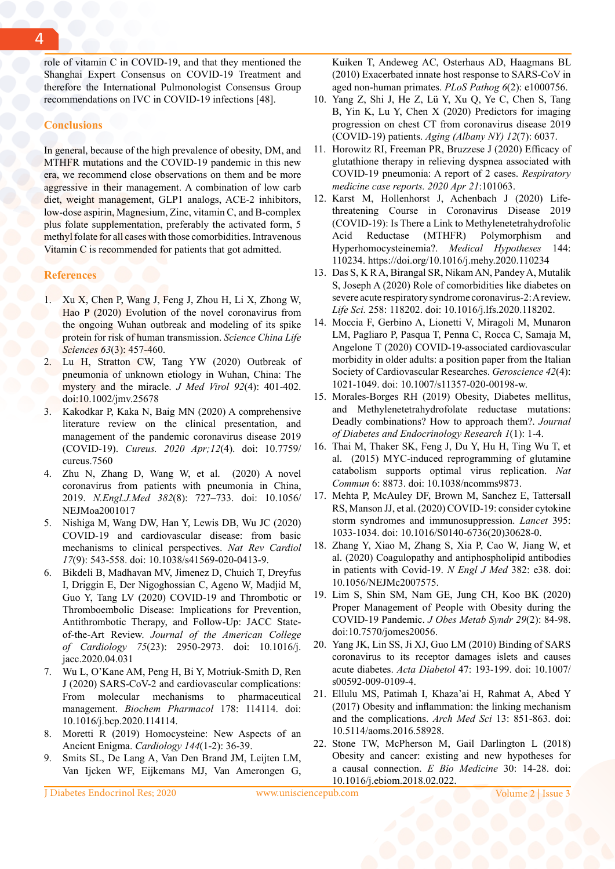role of vitamin C in COVID-19, and that they mentioned the Shanghai Expert Consensus on COVID-19 Treatment and therefore the International Pulmonologist Consensus Group recommendations on IVC in COVID-19 infections [48].

#### **Conclusions**

In general, because of the high prevalence of obesity, DM, and MTHFR mutations and the COVID-19 pandemic in this new era, we recommend close observations on them and be more aggressive in their management. A combination of low carb diet, weight management, GLP1 analogs, ACE-2 inhibitors, low-dose aspirin, Magnesium, Zinc, vitamin C, and B-complex plus folate supplementation, preferably the activated form, 5 methyl folate for all cases with those comorbidities. Intravenous Vitamin C is recommended for patients that got admitted.

#### **References**

- 1. Xu X, Chen P, Wang J, Feng J, Zhou H, Li X, Zhong W, Hao P (2020) Evolution of the novel coronavirus from the ongoing Wuhan outbreak and modeling of its spike protein for risk of human transmission. *Science China Life Sciences 63*(3): 457-460.
- Lu H, Stratton CW, Tang YW (2020) Outbreak of pneumonia of unknown etiology in Wuhan, China: The mystery and the miracle. *J Med Virol 92*(4): 401-402. doi:10.1002/jmv.25678
- 3. Kakodkar P, Kaka N, Baig MN (2020) A comprehensive literature review on the clinical presentation, and management of the pandemic coronavirus disease 2019 (COVID-19). *Cureus. 2020 Apr;12*(4). doi: 10.7759/ cureus.7560
- 4. Zhu N, Zhang D, Wang W, et al. (2020) A novel coronavirus from patients with pneumonia in China, 2019. *N.Engl.J.Med 382*(8): 727–733. doi: 10.1056/ NEJMoa2001017
- 5. Nishiga M, Wang DW, Han Y, Lewis DB, Wu JC (2020) COVID-19 and cardiovascular disease: from basic mechanisms to clinical perspectives. *Nat Rev Cardiol 17*(9): 543-558. doi: 10.1038/s41569-020-0413-9.
- 6. Bikdeli B, Madhavan MV, Jimenez D, Chuich T, Dreyfus I, Driggin E, Der Nigoghossian C, Ageno W, Madjid M, Guo Y, Tang LV (2020) COVID-19 and Thrombotic or Thromboembolic Disease: Implications for Prevention, Antithrombotic Therapy, and Follow-Up: JACC Stateof-the-Art Review. *Journal of the American College of Cardiology 75*(23): 2950-2973. doi: 10.1016/j. jacc.2020.04.031
- 7. Wu L, O'Kane AM, Peng H, Bi Y, Motriuk-Smith D, Ren J (2020) SARS-CoV-2 and cardiovascular complications: From molecular mechanisms to pharmaceutical management. *Biochem Pharmacol* 178: 114114. doi: 10.1016/j.bcp.2020.114114.
- 8. Moretti R (2019) Homocysteine: New Aspects of an Ancient Enigma. *Cardiology 144*(1-2): 36-39.
- 9. Smits SL, De Lang A, Van Den Brand JM, Leijten LM, Van Ijcken WF, Eijkemans MJ, Van Amerongen G,

Kuiken T, Andeweg AC, Osterhaus AD, Haagmans BL (2010) Exacerbated innate host response to SARS-CoV in aged non-human primates. *PLoS Pathog 6*(2): e1000756.

- 10. Yang Z, Shi J, He Z, Lü Y, Xu Q, Ye C, Chen S, Tang B, Yin K, Lu Y, Chen X (2020) Predictors for imaging progression on chest CT from coronavirus disease 2019 (COVID-19) patients. *Aging (Albany NY) 12*(7): 6037.
- 11. Horowitz RI, Freeman PR, Bruzzese J (2020) Efficacy of glutathione therapy in relieving dyspnea associated with COVID-19 pneumonia: A report of 2 cases. *Respiratory medicine case reports. 2020 Apr 21*:101063.
- 12. Karst M, Hollenhorst J, Achenbach J (2020) Lifethreatening Course in Coronavirus Disease 2019 (COVID-19): Is There a Link to Methylenetetrahydrofolic Acid Reductase (MTHFR) Polymorphism and Hyperhomocysteinemia?. *Medical Hypotheses* 144: 110234. https://doi.org/10.1016/j.mehy.2020.110234
- 13. Das S, K R A, Birangal SR, Nikam AN, Pandey A, Mutalik S, Joseph A (2020) Role of comorbidities like diabetes on severe acute respiratory syndrome coronavirus-2: A review. *Life Sci.* 258: 118202. doi: 10.1016/j.lfs.2020.118202.
- 14. Moccia F, Gerbino A, Lionetti V, Miragoli M, Munaron LM, Pagliaro P, Pasqua T, Penna C, Rocca C, Samaja M, Angelone T (2020) COVID-19-associated cardiovascular morbidity in older adults: a position paper from the Italian Society of Cardiovascular Researches. *Geroscience 42*(4): 1021-1049. doi: 10.1007/s11357-020-00198-w.
- 15. Morales-Borges RH (2019) Obesity, Diabetes mellitus, and Methylenetetrahydrofolate reductase mutations: Deadly combinations? How to approach them?. *Journal of Diabetes and Endocrinology Research 1*(1): 1-4.
- 16. Thai M, Thaker SK, Feng J, Du Y, Hu H, Ting Wu T, et al. (2015) MYC-induced reprogramming of glutamine catabolism supports optimal virus replication. *Nat Commun* 6: 8873. doi: 10.1038/ncomms9873.
- 17. Mehta P, McAuley DF, Brown M, Sanchez E, Tattersall RS, Manson JJ, et al. (2020) COVID-19: consider cytokine storm syndromes and immunosuppression. *Lancet* 395: 1033-1034. doi: 10.1016/S0140-6736(20)30628-0.
- 18. Zhang Y, Xiao M, Zhang S, Xia P, Cao W, Jiang W, et al. (2020) Coagulopathy and antiphospholipid antibodies in patients with Covid-19. *N Engl J Med* 382: e38. doi: 10.1056/NEJMc2007575.
- 19. Lim S, Shin SM, Nam GE, Jung CH, Koo BK (2020) Proper Management of People with Obesity during the COVID-19 Pandemic. *J Obes Metab Syndr 29*(2): 84-98. doi:10.7570/jomes20056.
- 20. Yang JK, Lin SS, Ji XJ, Guo LM (2010) Binding of SARS coronavirus to its receptor damages islets and causes acute diabetes. *Acta Diabetol* 47: 193-199. doi: 10.1007/ s00592-009-0109-4.
- 21. Ellulu MS, Patimah I, Khaza'ai H, Rahmat A, Abed Y (2017) Obesity and inflammation: the linking mechanism and the complications. *Arch Med Sci* 13: 851-863. doi: 10.5114/aoms.2016.58928.
- 22. Stone TW, McPherson M, Gail Darlington L (2018) Obesity and cancer: existing and new hypotheses for a causal connection. *E Bio Medicine* 30: 14-28. doi: 10.1016/j.ebiom.2018.02.022.